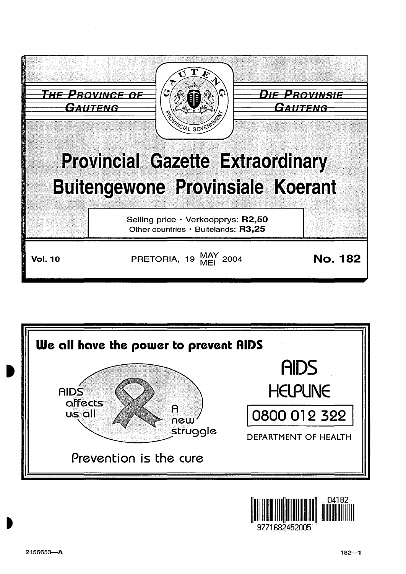



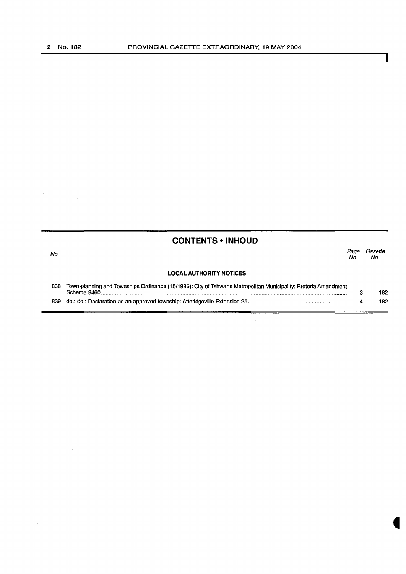$\blacksquare$ 

ı

|     | <b>CONTENTS • INHOUD</b>                                                                                       |             |                |
|-----|----------------------------------------------------------------------------------------------------------------|-------------|----------------|
| No. |                                                                                                                | Page<br>No. | Gazette<br>No. |
|     | <b>LOCAL AUTHORITY NOTICES</b>                                                                                 |             |                |
| 838 | Town-planning and Townships Ordinance (15/1986): City of Tshwane Metropolitan Municipality: Pretoria Amendment | з           | 182            |
| 839 |                                                                                                                |             | 182            |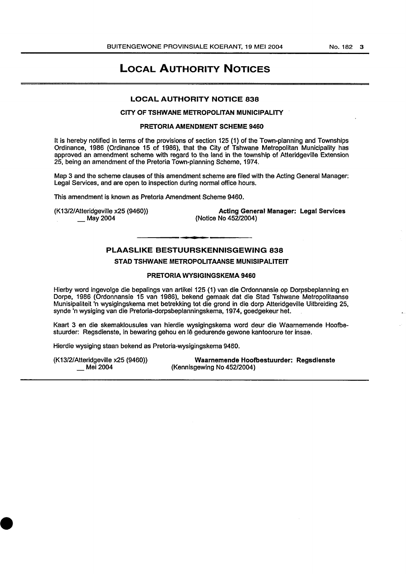# LOCAL AUTHORITY NOTICES

#### LOCAL AUTHORITY NOTICE 838

### CITY OF TSHWANE METROPOLITAN MUNICIPALITY

#### PRETORIA AMENDMENT SCHEME 9460

It is hereby notified in terms of the provisions of section 125 (1) of the Town-planning and Townships Ordinance, 1986 (Ordinance 15 of 1986), that the City of Tshwane Metropolitan Municipality has approved an amendment scheme with regard to the land in the township of Atteridgeville Extension 25, being an amendment of the Pretoria Town-planning Scheme, 1974.

Map 3 and the scheme clauses of this amendment scheme are filed with the Acting General Manager: Legal Services, and are open to inspection during normal office hours.

This amendment is known as Pretoria Amendment Scheme 9460.

(K13/2/Atteridgeville x25 (9460)) \_May2004

Acting General Manager: Legal Services (Notice No 452/2004)

# PLAASLIKE BESTUURSKENNISGEWING 838

# STAD TSHWANE METROPOLITAANSE MUNISIPALITEIT

### PRETORIA WYSIGINGSKEMA 9460

Hierby word ingevolge die bepalings van artikel 125 (1) van die Ordonnansie op Dorpsbeplanning en Dorpe, 1986 (Ordonnansie 15 van 1986), bekend gemaak dat die Stad Tshwane Metropolitaanse Munisipaliteit 'n wysigingskema met betrekking tot die grand in die dorp Atteridgevitle Uitbreiding 25, synde 'n wysiging van die Pretoria-dorpsbeplanningskema, 1974, goedgekeur het.

Kaart 3 en die skemaklousules van hierdie wysigingskema word deur die Waarnemende Hoofbestuurder: Regsdienste, in bewaring gehou en le gedurende gewone kantoorure ter insae.

Hierdie wysiging staan bekend as Pretoria-wysigingskema 9460.

(K13/2/Atteridgeville x25 (9460)) Mei 2004

Waarnemende Hoofbestuurder: Regsdienste (Kennisgewing No 452/2004)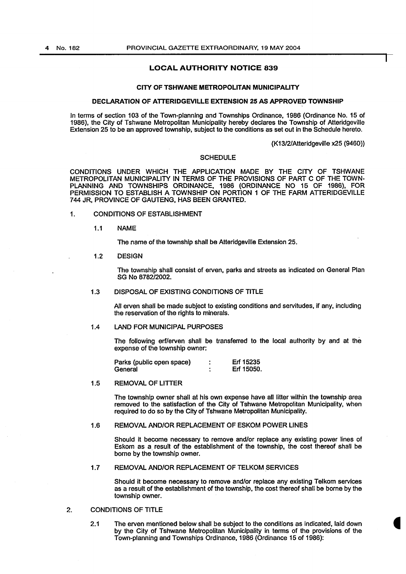# LOCAL AUTHORITY NOTICE 839

#### CITY OF TSHWANE METROPOLITAN MUNICIPALITY

#### DECLARATION OF ATTERIDGEVILLE EXTENSION 25 AS APPROVED TOWNSHIP

In terms of section 103 of the Town-planning and Townships Ordinance, 1986 (Ordinance No. 15 of 1986), the City of Tshwane Metropolitan Municipality hereby declares the Township of Atteridgeville Extension 25 to be an approved township, subject to the conditions as set out in the Schedule hereto.

(K13/2/Atteridgeville x25 (9460))

#### **SCHEDULE**

CONDITIONS UNDER WHICH THE APPLICATION MADE BY THE CITY OF TSHWANE METROPOLITAN MUNICIPALITY IN TERMS OF THE PROVISIONS OF PART C OF THE TOWN-PLANNING AND TOWNSHIPS ORDINANCE, 1986 (ORDINANCE NO 15 OF 1986), FOR PERMISSION TO ESTABLISH A TOWNSHIP ON PORTION 1 OF THE FARM ATTERIDGEVILLE 744 JR, PROVINCE OF GAUTENG, HAS BEEN GRANTED.

# 1. CONDITIONS OF ESTABLISHMENT

1.1 NAME

The name of the township shall be Atteridgeville Extension 25.

1.2 DESIGN

The township shall consist of erven, parks and streets as indicated on General Plan SG No 8782/2002.

#### 1.3 DISPOSAL OF EXISTING CONDITIONS OF TITLE

All erven shall be made subject to existing conditions and servitudes, if any, including the reservation of the rights to minerals.

# 1.4 LAND FOR MUNICIPAL PURPOSES

The following erf/erven shall be transferred to the local authority by and at the expense of the township owner:

Parks (public open space) Erf 15235  $\ddot{\cdot}$ Erf 15050. **General** 

1.5 REMOVAL OF LITTER

The township owner shall at his own expense have all Jitter within the township area removed to the satisfaction of the City of Tshwane Metropolitan Municipality, when required to do so by the City of Tshwane Metropolitan Municipality.

#### 1.6 REMOVAL AND/OR REPLACEMENT OF ESKOM POWER LINES

Should it become necessary to remove and/or replace any existing power lines of Eskom as a result of the establishment of the township, the cost thereof shall be borne by the township owner.

1.7 REMOVAL AND/OR REPLACEMENT OF TELKOM SERVICES

Should it become necessary to remove and/or replace any existing Telkom services as a result of the establishment of the township, the cost thereof shall be borne by the township owner.

#### 2. CONDITIONS OF TITLE

2.1 The erven mentioned below shall be subject to the conditions as indicated, laid down by the City of Tshwane Metropolitan Municipality in terms of the provisions of the Town-planning and Townships Ordinance, 1986 (Ordinance 15 of 1986):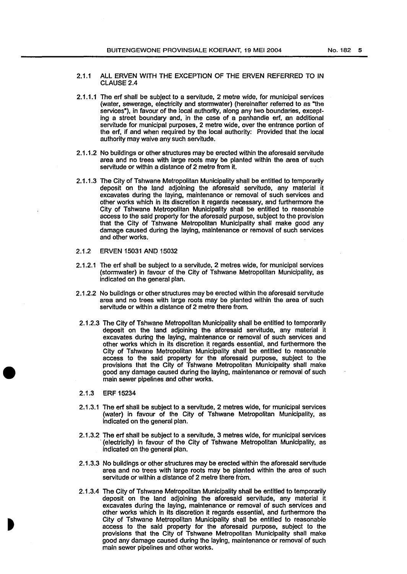- 2.1.1 ALL ERVEN WITH THE EXCEPTION OF THE ERVEN REFERRED TO IN CLAUSE<sub>2.4</sub>
- 2.1.1.1 The erf shall be subject to a servitude, 2 metre wide, for municipal services (water, sewerage, electricity and stormwater) (hereinafter referred to as "the services"), in favour of the local authority, along any two boundaries, excepting a street boundary and, in the case of a panhandle erf, an additional servitude for municipal purposes, 2 metre wide, over the entrance portion of the erf, if and when required by the local authority: Provided that the local authority may waive any such servitude.
- 2.1.1.2 No buildings or other structures may be erected within the aforesaid servitude area and no trees with large roots may be planted within the area of such servitude or within a distance of 2 metre from it.
- 2.1. 1.3 The City of Tshwane Metropolitan Municipality shall be entitled to temporarily deposit on the land adjoining the aforesaid servitude, any material it excavates during the laying, maintenance or removal of such services and other works which in its discretion it regards necessary, and furthermore the City of Tshwane Metropolitan Municipality shall be entitled to reasonable access to the said property for the aforesaid purpose, subject to the provision that the City of Tshwane Metropolitan Municipality shall make good any damage caused during the laying, maintenance or removal of such services and other works.
- 2.1.2 ERVEN 15031 ANQ 15032
- 2.1.2.1 The erf shall be subject to a servitude, 2 metres wide, for municipal services (stormwater) in favour of the City of Tshwane Metropolitan Municipality, as indicated on the general plan.
- 2.1.2.2 No buildings or other structures may be erected within the aforesaid servitude area and no trees with large roots may be planted within the area of such servitude or within a distance of 2 metre there from.
- 2.1.2.3 The City of Tshwane Metropolitan Municipality shall be entitled to temporarily deposit on the land adjoining the aforesaid servitude, any material it excavates during the laying, maintenance or removal of such services and other works which in its discretion it regards essential, and furthermore the City of Tshwane Metropolitan Municipality shall be entitled to reasonable access to the said property for the aforesaid purpose, subject to the provisions that the City of Tshwane Metropolitan Municipality shall make good any damage caused during the laying, maintenance or removal of such main sewer pipelines and other works.
- 2.1.3 ERF 15234
- 2.1.3.1 The erf shall be subject to a servitude, 2 metres wide, for municipal services (water) in favour of the City of Tshwane Metropolitan Municipality, as indicated on the general plan.
- 2.1.3.2 The erf shall be subject to a servitude, 3 metres wide, for municipal services · (electricity) in favour of the City of Tshwane Metropolitan Municipality, as indicated on the general plan.
- 2.1.3.3 No buildings or other structures may be erected within the aforesaid servitude area and no trees with large roots may be planted within the area of such servitude or within a distance of 2 metre there from.
- 2.1.3.4 The City of Tshwane Metropolitan Municipality shall be entitled to temporarily deposit on the land adjoining the aforesaid servitude, any material it excavates during the laying, maintenance or removal of such services and other works which in its discretion it regards essential, and furthermore the City of Tshwane Metropolitan Municipality shall be entitled to reasonable access to the said property for the aforesaid purpose, subject to the provisions that the City of Tshwane Metropolitan Municipality shall make good any damage caused during the laying, maintenance or removal of such main sewer pipelines and other works.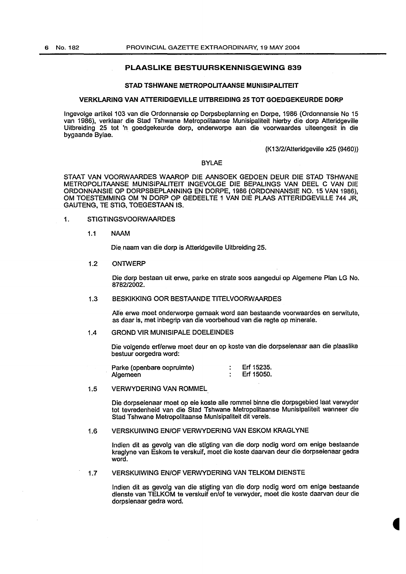# PLAASLIKE BESTUURSKENNISGEWING 839

## STAD TSHWANE METROPOLITAANSE MUNISIPALITEIT

#### VERKLARING VAN ATTERIDGEVILLE UITBREIDING 25 TOT GOEDGEKEURDE DORP

lngevolge artikel 103 van die Ordonnansie op Dorpsbeplanning en Dorpe, 1986 (Ordonnansie No 15 van 1986), verklaar die Stad Tshwane Metropolitaanse Munisipaliteit hierby die dorp Atteridgeville Uitbreiding 25 tot 'n goedgekeurde dorp, onderworpe aan die voorwaardes uiteengesit in die bygaande Bylae.

(K13/2/Atteridgeville x25 (9460))

# BYLAE

STAAT VAN VOORWAARDES WAAROP DIE AANSOEK GEDOEN DEUR DIE STAD TSHWANE METROPOLITAANSE MUNISIPALITEIT INGEVOLGE DIE BEPALINGS VAN DEEL C VAN DIE ORDONNANSIE OP DORPSBEPLANNING EN DORPE, 1986 (ORDONNANSIE NO. 15 VAN 1986), OM TOESTEMMING OM 'N DORP OP GEDEELTE 1 VAN DIE PLAAS ATTERIDGEVILLE 744 JR, GAUTENG, TE STIG, TOEGESTAAN IS.

- 1. STIGTINGSVOORWAARDES
	- 1.1 NAAM

Die. naam van die dorp is Atteridgeville Uitbreiding 25.

#### 1.2 ONTWERP

Die dorp bestaan uit erwe, parke en strate soos aangedui op Algemene Plan LG No. 878212002.

#### 1.3 BESKIKKING OOR BESTAANDE TITELVOORWAARDES

Aile erwe moet onderworpe gemaak word aan bestaande voorwaardes en serwitute, as daar is, met inbegrip van die voorbehoud van die regte op minerale.

#### 1.4 GROND VIR MUNISIPALE DOELEINDES

Die volgende erf/erwe moet deur en op koste van die dorpseienaar aan die plaaslike bestuur oorgedra word:

Erf 15235. Parke (openbare oopruimte)  $\ddot{\cdot}$ Erf 15050. Algemeen  $\ddot{\cdot}$ 

# 1.5 VERWYDERING VAN ROMMEL

Die dorpseienaar moet op eie koste aile rommel binne die dorpsgebied laat verwyder tot tevredenheid van die Stad Tshwane Metropolitaanse Munislpaliteit wanneer die Stad Tshwane Metropolitaanse Munisipaliteit dit vereis.

#### 1.6 VERSKUIWING EN/OF VERWYDERING VAN ESKOM KRAGLYNE

Indien dit as gevolg van die stigting van die dorp nodig word om enige bestaande kraglyne van Eskom te verskuif, moet die koste daarvan deur die dorpseienaar gedra word.

# 1.7 VERSKUIWING EN/OF VERWYDERING VAN TELKOM DIENSTE

Indian dit as gevolg van die stigting van die dorp nodig word om enige bestaande dienste van TELKOM te verskuif en/of te verwyder, moet die koste daarvan deur die dorpsienaar gedra word.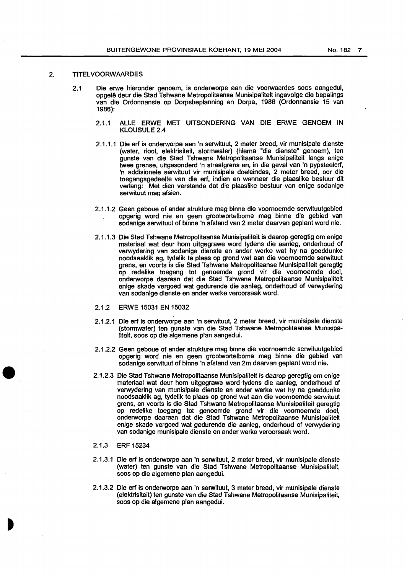## 2. TITELVOORWAARDES

- 2.1 Die erwe hieronder genoem, is onderworpe aan die voorwaardes soos aangedui, opgel~ deur die Stad Tshwane Metropolitaanse Munisipalitelt ingevolge die bepalings van die Ordonnansle op Dorpsbeplanning en Dorpe, 1986 (Ordonnansie 15 van 1986):
	- 2.1.1 ALLE ERWE MET UITSONDERING VAN DIE ERWE GENOEM IN KLOUSULE 2.4
	- 2.1.1.1 Die erf is onderworpe aan 'n serwltuut, 2 meter breed, vir munisipale dienste (water, riool, elektrisiteit, stormwater) (hlema "die dienste" genoem), ten gunste van die Stad Tshwane Metropolitaanse Munisipaliteit langs enige twee grense, uitgesonderd 'n straatgrens en, in die geval van 'n pypsteelerf, 'n addisionele serwituut vir munisipale doeleindes, 2 meter breed, oor die toegangsgedeelte van die erf, indien en wanneer die plaaslike bestuur dit verlang: Met dien verstande dat die plaaslike bestuur van en ige sodanige serwituut mag afsien.
	- 2.1.1.2 Geen geboue of ander strukture mag binne die voornoemde serwituutgebied opgerig word nie en geen grootwortelbome mag binne die gebied van sodanige serwituut of binne 'n afstand van 2 meter daarvan geplant word nie.
	- 2.1.1.3 Die Stad Tshwane Metropolitaanse Munisipaliteit is daarop geregtig om enige materiaal wat deur hom uitgegrawe word tydens die aanleg, onderhoud of verwydering van sodanige dienste en ander werke wat hy na goeddunke noodsaaklik ag, tydelik te plaas op grond wat aan die voomoemde serwituut grens, en voorts is die Stad Tshwane Metropolitaanse Munisipaliteit geregtig op redelike toegang tot genoemde grond vir die voomoemde doel, onderworpe daaraan dat die Stad Tshwane Metropolitaanse Munisipaliteit enige skade vergoed wat gedurende die aanleg, onderhoud of verwydering van sodanige dienste en ander werke veroorsaak word.
	- 2.1.2 ERWE 15031 EN 15032
	- 2.1.2.1 Die erf is onderworpe aan 'n serwituut, 2 meter breed, vir munisipale dienste (stormwater) ten gunste van die Stad Tshwane Metropolitaanse Munisipaliteit, soos op die algemene plan aangedui.
	- 2.1.2.2 Geen geboue of ander strukture mag binne die voornoemde serwituutgebied opgerig word nie en geen grootwortelbome mag binne die gebied van sodanige serwituut of binne 'n afstand van 2m daarvan geplant word nie.
	- 2.1.2.3 Die Stad Tshwane Metropolitaanse Munisipaliteit is daarop geregtig om enige materiaal wat deur hom uitgegrawe word tydens die aanleg, onderhoud of verwydering van munisipale dienste en ander werke wat hy na goeddunke noodsaaklik ag, tydelik te plaas op grond wat aan die voornoemde serwituut grens, en voorts is die Stad Tshwane Metropolitaanse Munisipaliteit geregtig op redelike toegang tot genoemde grond vir die voomoemde doel, onderworpe daaraan dat die Stad Tshwane Metropolitaanse Munisipaliteit enige skade vergoed wat gedurende die aanleg, onderhoud of verwydering van sodanige munisipale dienste en ander werke veroorsaak word.
	- 2.1.3 ERF 15234
	- 2.1.3.1 Die erf is onderworpe aan 'n serwituut, 2 meter breed, vir munisipale dienste (water) ten gunste van die Stad Tshwane Metropolitaanse Munisipaliteit, soos op die algemene plan aangedui.
	- 2.1.3.2 Die erf is onderworpe aan 'n serwituut, 3 meter breed, vir munisipale dienste (elektrisiteit) ten gunste van die Stad Tshwane Metropolitaanse Munisipaliteit, soos op die algemene plan aangedui.